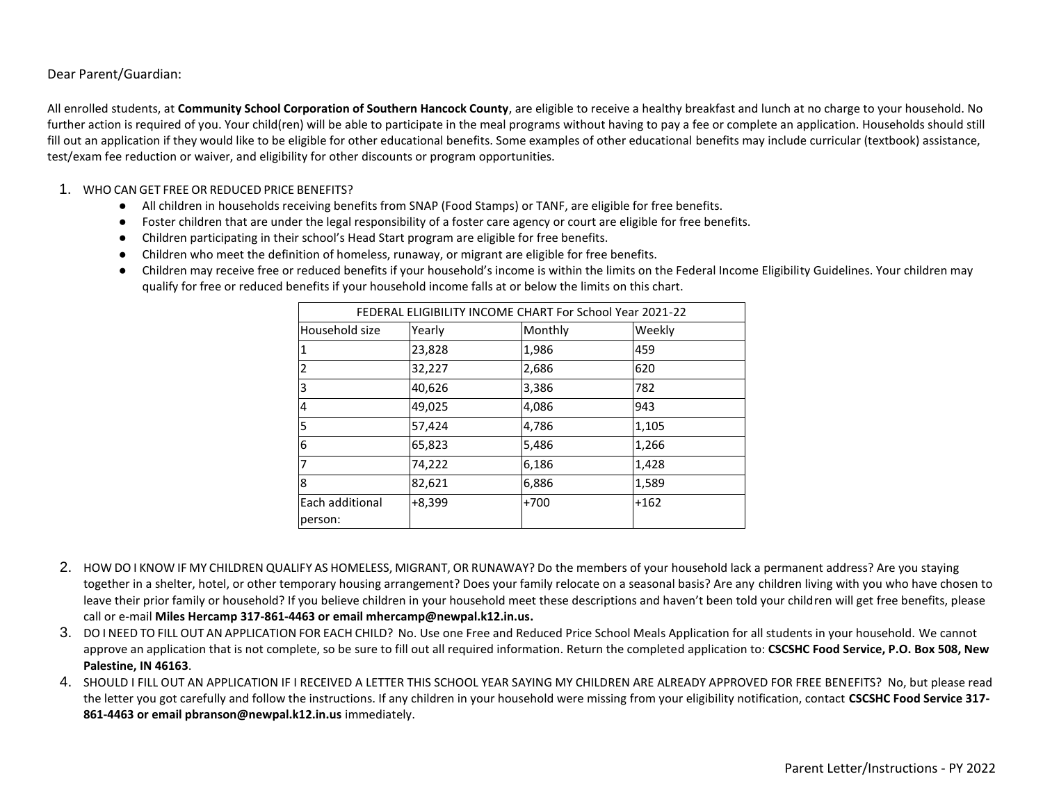### Dear Parent/Guardian:

All enrolled students, at **Community School Corporation of Southern Hancock County**, are eligible to receive a healthy breakfast and lunch at no charge to your household. No further action is required of you. Your child(ren) will be able to participate in the meal programs without having to pay a fee or complete an application. Households should still fill out an application if they would like to be eligible for other educational benefits. Some examples of other educational benefits may include curricular (textbook) assistance, test/exam fee reduction or waiver, and eligibility for other discounts or program opportunities.

#### 1. WHO CAN GET FREE OR REDUCED PRICE BENEFITS?

- All children in households receiving benefits from SNAP (Food Stamps) or TANF, are eligible for free benefits.
- Foster children that are under the legal responsibility of a foster care agency or court are eligible for free benefits.
- Children participating in their school's Head Start program are eligible for free benefits.
- Children who meet the definition of homeless, runaway, or migrant are eligible for free benefits.
- Children may receive free or reduced benefits if your household's income is within the limits on the Federal Income Eligibility Guidelines. Your children may qualify for free or reduced benefits if your household income falls at or below the limits on this chart.

| FEDERAL ELIGIBILITY INCOME CHART For School Year 2021-22 |          |         |        |
|----------------------------------------------------------|----------|---------|--------|
| Household size                                           | Yearly   | Monthly | Weekly |
| 1                                                        | 23,828   | 1,986   | 459    |
| 2                                                        | 32,227   | 2,686   | 620    |
| 3                                                        | 40,626   | 3,386   | 782    |
| 4                                                        | 49,025   | 4,086   | 943    |
| 5                                                        | 57,424   | 4,786   | 1,105  |
| 6                                                        | 65,823   | 5,486   | 1,266  |
| 7                                                        | 74,222   | 6,186   | 1,428  |
| 8                                                        | 82,621   | 6,886   | 1,589  |
| Each additional                                          | $+8,399$ | $+700$  | $+162$ |
| person:                                                  |          |         |        |

- 2. HOW DO I KNOW IF MY CHILDREN QUALIFY AS HOMELESS, MIGRANT, OR RUNAWAY? Do the members of your household lack a permanent address? Are you staying together in a shelter, hotel, or other temporary housing arrangement? Does your family relocate on a seasonal basis? Are any children living with you who have chosen to leave their prior family or household? If you believe children in your household meet these descriptions and haven't been told your children will get free benefits, please call or e-mail **Miles Hercamp 317-861-4463 or email mhercamp@newpal.k12.in.us.**
- 3. DO I NEED TO FILL OUT AN APPLICATION FOR EACH CHILD? No. Use one Free and Reduced Price School Meals Application for all students in your household. We cannot approve an application that is not complete, so be sure to fill out all required information. Return the completed application to: **CSCSHC Food Service, P.O. Box 508, New Palestine, IN 46163**.
- 4. SHOULD I FILL OUT AN APPLICATION IF I RECEIVED A LETTER THIS SCHOOL YEAR SAYING MY CHILDREN ARE ALREADY APPROVED FOR FREE BENEFITS? No, but please read the letter you got carefully and follow the instructions. If any children in your household were missing from your eligibility notification, contact **CSCSHC Food Service 317- 861-4463 or email pbranson@newpal.k12.in.us** immediately.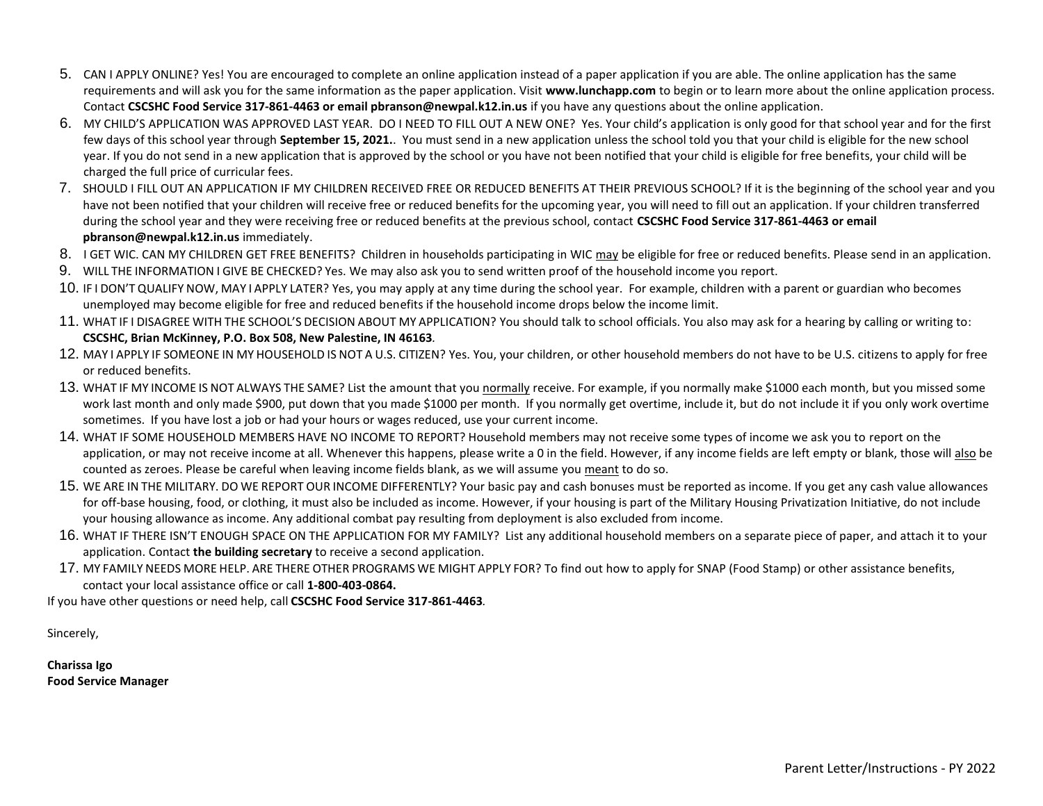- 5. CAN I APPLY ONLINE? Yes! You are encouraged to complete an online application instead of a paper application if you are able. The online application has the same requirements and will ask you for the same information as the paper application. Visit **www.lunchapp.com** to begin or to learn more about the online application process. Contact **CSCSHC Food Service 317-861-4463 or email pbranson@newpal.k12.in.us** if you have any questions about the online application.
- 6. MY CHILD'S APPLICATION WAS APPROVED LAST YEAR. DO I NEED TO FILL OUT A NEW ONE? Yes. Your child's application is only good for that school year and for the first few days of this school year through **September 15, 2021.**. You must send in a new application unless the school told you that your child is eligible for the new school year. If you do not send in a new application that is approved by the school or you have not been notified that your child is eligible for free benefits, your child will be charged the full price of curricular fees.
- 7. SHOULD I FILL OUT AN APPLICATION IF MY CHILDREN RECEIVED FREE OR REDUCED BENEFITS AT THEIR PREVIOUS SCHOOL? If it is the beginning of the school year and you have not been notified that your children will receive free or reduced benefits for the upcoming year, you will need to fill out an application. If your children transferred during the school year and they were receiving free or reduced benefits at the previous school, contact **CSCSHC Food Service 317-861-4463 or email pbranson@newpal.k12.in.us** immediately.
- 8. I GET WIC. CAN MY CHILDREN GET FREE BENEFITS? Children in households participating in WIC may be eligible for free or reduced benefits. Please send in an application.
- 9. WILL THE INFORMATION I GIVE BE CHECKED? Yes. We may also ask you to send written proof of the household income you report.
- 10. IF I DON'T QUALIFY NOW, MAY I APPLY LATER? Yes, you may apply at any time during the school year. For example, children with a parent or guardian who becomes unemployed may become eligible for free and reduced benefits if the household income drops below the income limit.
- 11. WHAT IF I DISAGREE WITH THE SCHOOL'S DECISION ABOUT MY APPLICATION? You should talk to school officials. You also may ask for a hearing by calling or writing to: **CSCSHC, Brian McKinney, P.O. Box 508, New Palestine, IN 46163***.*
- 12. MAY I APPLY IF SOMEONE IN MY HOUSEHOLD IS NOT A U.S. CITIZEN? Yes. You, your children, or other household members do not have to be U.S. citizens to apply for free or reduced benefits.
- 13. WHAT IF MY INCOME IS NOT ALWAYS THE SAME? List the amount that you normally receive. For example, if you normally make \$1000 each month, but you missed some work last month and only made \$900, put down that you made \$1000 per month. If you normally get overtime, include it, but do not include it if you only work overtime sometimes. If you have lost a job or had your hours or wages reduced, use your current income.
- 14. WHAT IF SOME HOUSEHOLD MEMBERS HAVE NO INCOME TO REPORT? Household members may not receive some types of income we ask you to report on the application, or may not receive income at all. Whenever this happens, please write a 0 in the field. However, if any income fields are left empty or blank, those will also be counted as zeroes. Please be careful when leaving income fields blank, as we will assume you meant to do so.
- 15. WE ARE IN THE MILITARY. DO WE REPORT OUR INCOME DIFFERENTLY? Your basic pay and cash bonuses must be reported as income. If you get any cash value allowances for off-base housing, food, or clothing, it must also be included as income. However, if your housing is part of the Military Housing Privatization Initiative, do not include your housing allowance as income. Any additional combat pay resulting from deployment is also excluded from income.
- 16. WHAT IF THERE ISN'T ENOUGH SPACE ON THE APPLICATION FOR MY FAMILY? List any additional household members on a separate piece of paper, and attach it to your application. Contact **the building secretary** to receive a second application.
- 17. MY FAMILY NEEDS MORE HELP. ARE THERE OTHER PROGRAMS WE MIGHT APPLY FOR? To find out how to apply for SNAP (Food Stamp) or other assistance benefits, contact your local assistance office or call **1-800-403-0864.**

If you have other questions or need help, call **CSCSHC Food Service 317-861-4463***.*

Sincerely,

**Charissa Igo Food Service Manager**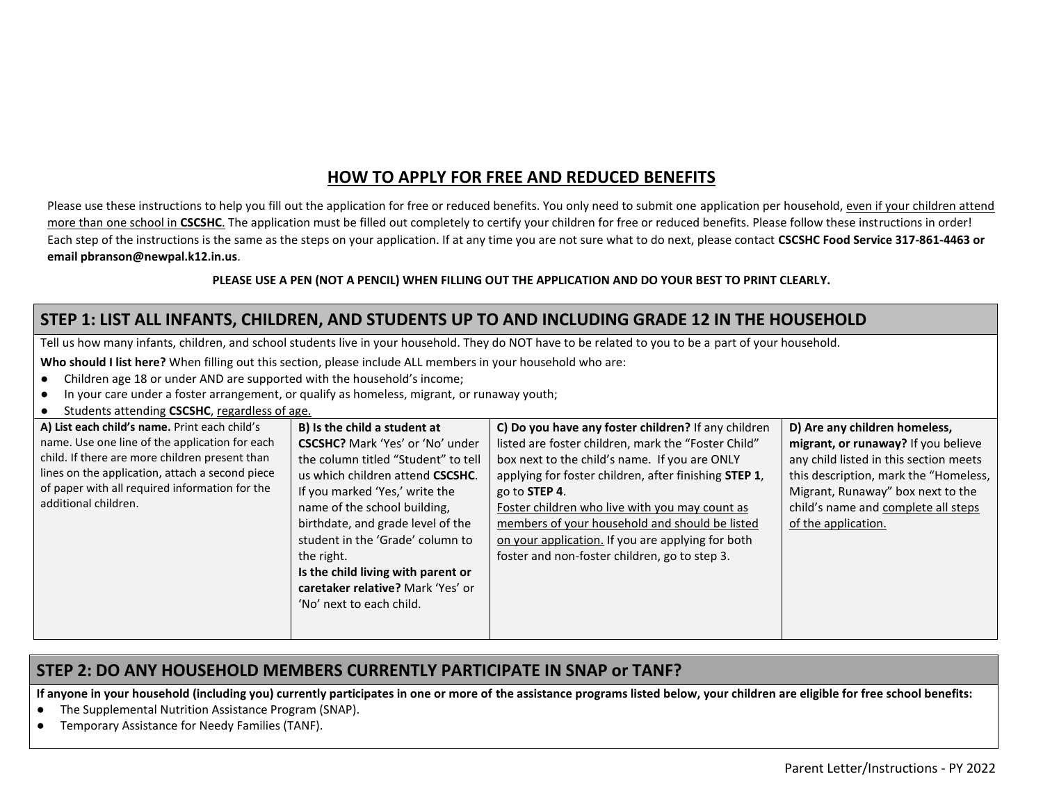## **HOW TO APPLY FOR FREE AND REDUCED BENEFITS**

Please use these instructions to help you fill out the application for free or reduced benefits. You only need to submit one application per household, even if your children attend more than one school in CSCSHC. The application must be filled out completely to certify your children for free or reduced benefits. Please follow these instructions in order! Each step of the instructions is the same as the steps on your application. If at any time you are not sure what to do next, please contact **CSCSHC Food Service 317-861-4463 or email pbranson@newpal.k12.in.us**.

#### **PLEASE USE A PEN (NOT A PENCIL) WHEN FILLING OUT THE APPLICATION AND DO YOUR BEST TO PRINT CLEARLY.**

## **STEP 1: LIST ALL INFANTS, CHILDREN, AND STUDENTS UP TO AND INCLUDING GRADE 12 IN THE HOUSEHOLD**

Tell us how many infants, children, and school students live in your household. They do NOT have to be related to you to be a part of your household.

**Who should I list here?** When filling out this section, please include ALL members in your household who are:

- Children age 18 or under AND are supported with the household's income;
- In your care under a foster arrangement, or qualify as homeless, migrant, or runaway youth;
- Students attending **CSCSHC**, regardless of age.

| A) List each child's name. Print each child's   | B) Is the child a student at            | C) Do you have any foster children? If any children   | D) Are any children homeless,          |
|-------------------------------------------------|-----------------------------------------|-------------------------------------------------------|----------------------------------------|
| name. Use one line of the application for each  | <b>CSCSHC?</b> Mark 'Yes' or 'No' under | listed are foster children, mark the "Foster Child"   | migrant, or runaway? If you believe    |
| child. If there are more children present than  | the column titled "Student" to tell     | box next to the child's name. If you are ONLY         | any child listed in this section meets |
| lines on the application, attach a second piece | us which children attend CSCSHC.        | applying for foster children, after finishing STEP 1, | this description, mark the "Homeless,  |
| of paper with all required information for the  | If you marked 'Yes,' write the          | go to STEP 4.                                         | Migrant, Runaway" box next to the      |
| additional children.                            | name of the school building,            | Foster children who live with you may count as        | child's name and complete all steps    |
|                                                 | birthdate, and grade level of the       | members of your household and should be listed        | of the application.                    |
|                                                 | student in the 'Grade' column to        | on your application. If you are applying for both     |                                        |
|                                                 | the right.                              | foster and non-foster children, go to step 3.         |                                        |
|                                                 | Is the child living with parent or      |                                                       |                                        |
|                                                 | caretaker relative? Mark 'Yes' or       |                                                       |                                        |
|                                                 | 'No' next to each child.                |                                                       |                                        |
|                                                 |                                         |                                                       |                                        |
|                                                 |                                         |                                                       |                                        |

### **STEP 2: DO ANY HOUSEHOLD MEMBERS CURRENTLY PARTICIPATE IN SNAP or TANF?**

**If anyone in your household (including you) currently participates in one or more of the assistance programs listed below, your children are eligible for free school benefits:**

- The Supplemental Nutrition Assistance Program (SNAP).
- Temporary Assistance for Needy Families (TANF).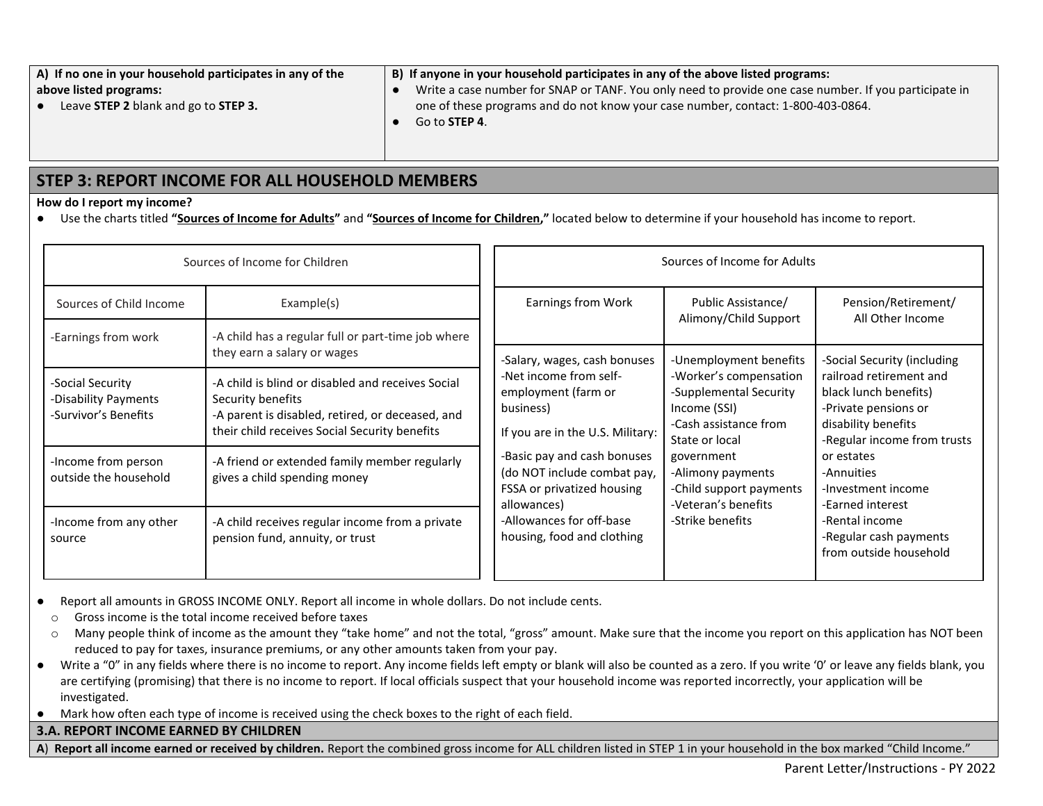| A) If no one in your household participates in any of the | B) If anyone in your household participates in any of the above listed programs:                      |
|-----------------------------------------------------------|-------------------------------------------------------------------------------------------------------|
| above listed programs:                                    | Write a case number for SNAP or TANF. You only need to provide one case number. If you participate in |
| Leave STEP 2 blank and go to STEP 3.                      | one of these programs and do not know your case number, contact: 1-800-403-0864.                      |
|                                                           | Go to <b>STEP 4</b> .                                                                                 |

### **STEP 3: REPORT INCOME FOR ALL HOUSEHOLD MEMBERS**

#### **How do I report my income?**

● Use the charts titled **"Sources of Income for Adults"** and **"Sources of Income for Children,"** located below to determine if your household has income to report.

| Sources of Income for Children                                   |                                                                                                                                                                             | Sources of Income for Adults                                                                                                                                                                              |                                                                                                                                                                                                                      |                                                                                                                                                                                                                                                                            |
|------------------------------------------------------------------|-----------------------------------------------------------------------------------------------------------------------------------------------------------------------------|-----------------------------------------------------------------------------------------------------------------------------------------------------------------------------------------------------------|----------------------------------------------------------------------------------------------------------------------------------------------------------------------------------------------------------------------|----------------------------------------------------------------------------------------------------------------------------------------------------------------------------------------------------------------------------------------------------------------------------|
| Sources of Child Income<br>-Earnings from work                   | Example(s)<br>-A child has a regular full or part-time job where                                                                                                            | Earnings from Work                                                                                                                                                                                        | Public Assistance/<br>Alimony/Child Support                                                                                                                                                                          | Pension/Retirement/<br>All Other Income                                                                                                                                                                                                                                    |
|                                                                  | they earn a salary or wages                                                                                                                                                 | -Salary, wages, cash bonuses                                                                                                                                                                              |                                                                                                                                                                                                                      | -Social Security (including                                                                                                                                                                                                                                                |
| -Social Security<br>-Disability Payments<br>-Survivor's Benefits | -A child is blind or disabled and receives Social<br>Security benefits<br>-A parent is disabled, retired, or deceased, and<br>their child receives Social Security benefits | -Net income from self-<br>employment (farm or<br>business)<br>If you are in the U.S. Military:<br>-Basic pay and cash bonuses<br>(do NOT include combat pay,<br>FSSA or privatized housing<br>allowances) | -Worker's compensation<br>-Supplemental Security<br>Income (SSI)<br>-Cash assistance from<br>State or local<br>government<br>-Alimony payments<br>-Child support payments<br>-Veteran's benefits<br>-Strike benefits | railroad retirement and<br>black lunch benefits)<br>-Private pensions or<br>disability benefits<br>-Regular income from trusts<br>or estates<br>-Annuities<br>-Investment income<br>-Earned interest<br>-Rental income<br>-Regular cash payments<br>from outside household |
| -Income from person<br>outside the household                     | -A friend or extended family member regularly<br>gives a child spending money                                                                                               |                                                                                                                                                                                                           |                                                                                                                                                                                                                      |                                                                                                                                                                                                                                                                            |
| -Income from any other<br>source                                 | -A child receives regular income from a private<br>pension fund, annuity, or trust                                                                                          | -Allowances for off-base<br>housing, food and clothing                                                                                                                                                    |                                                                                                                                                                                                                      |                                                                                                                                                                                                                                                                            |

● Report all amounts in GROSS INCOME ONLY. Report all income in whole dollars. Do not include cents.

- o Gross income is the total income received before taxes
- o Many people think of income as the amount they "take home" and not the total, "gross" amount. Make sure that the income you report on this application has NOT been reduced to pay for taxes, insurance premiums, or any other amounts taken from your pay.
- Write a "0" in any fields where there is no income to report. Any income fields left empty or blank will also be counted as a zero. If you write '0' or leave any fields blank, you are certifying (promising) that there is no income to report. If local officials suspect that your household income was reported incorrectly, your application will be investigated.
- Mark how often each type of income is received using the check boxes to the right of each field.

### **3.A. REPORT INCOME EARNED BY CHILDREN**

**A**) **Report all income earned or received by children.** Report the combined gross income for ALL children listed in STEP 1 in your household in the box marked "Child Income."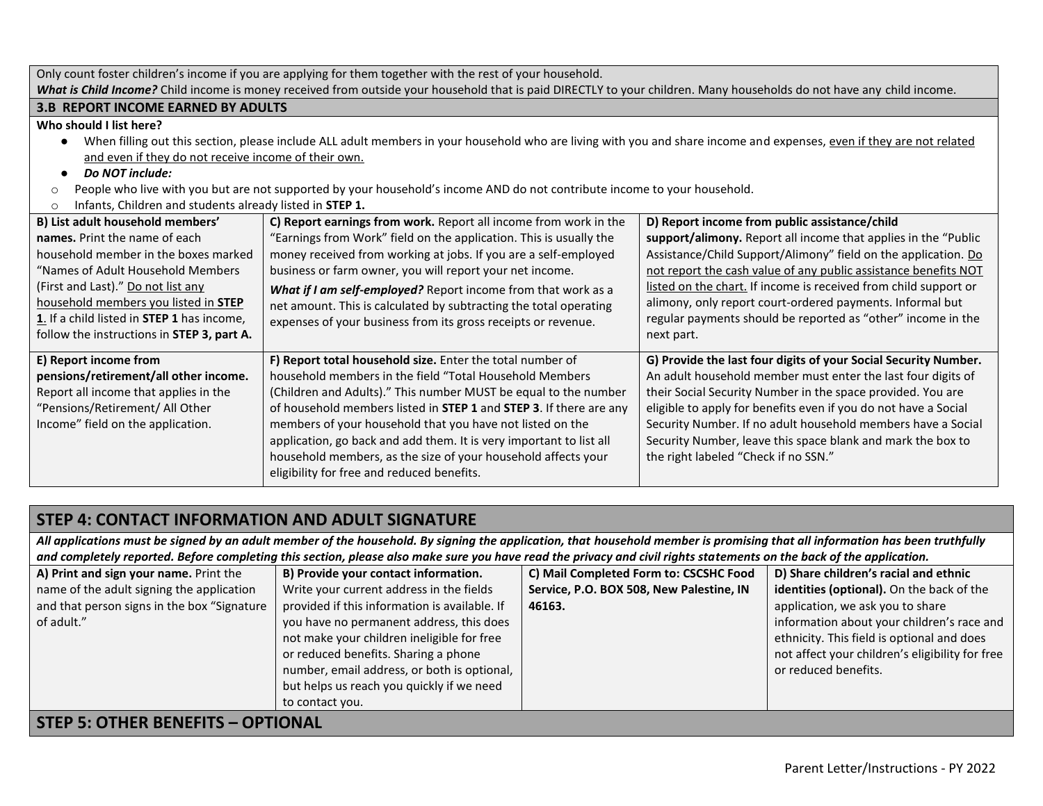|                                                                                                                                                                                                                                                                                                                                 | Only count foster children's income if you are applying for them together with the rest of your household.                                                                                                                                                                                                                                                                                                                                                                                                       |                                                                                                                                                                                                                                                                                                                                                                                                                                                                     |  |
|---------------------------------------------------------------------------------------------------------------------------------------------------------------------------------------------------------------------------------------------------------------------------------------------------------------------------------|------------------------------------------------------------------------------------------------------------------------------------------------------------------------------------------------------------------------------------------------------------------------------------------------------------------------------------------------------------------------------------------------------------------------------------------------------------------------------------------------------------------|---------------------------------------------------------------------------------------------------------------------------------------------------------------------------------------------------------------------------------------------------------------------------------------------------------------------------------------------------------------------------------------------------------------------------------------------------------------------|--|
| What is Child Income? Child income is money received from outside your household that is paid DIRECTLY to your children. Many households do not have any child income.                                                                                                                                                          |                                                                                                                                                                                                                                                                                                                                                                                                                                                                                                                  |                                                                                                                                                                                                                                                                                                                                                                                                                                                                     |  |
| <b>3.B REPORT INCOME EARNED BY ADULTS</b>                                                                                                                                                                                                                                                                                       |                                                                                                                                                                                                                                                                                                                                                                                                                                                                                                                  |                                                                                                                                                                                                                                                                                                                                                                                                                                                                     |  |
| Who should I list here?<br>$\bullet$<br>and even if they do not receive income of their own.<br>Do NOT include:<br>$\bullet$<br>$\circ$<br>Infants, Children and students already listed in STEP 1.<br>$\circ$                                                                                                                  | When filling out this section, please include ALL adult members in your household who are living with you and share income and expenses, even if they are not related<br>People who live with you but are not supported by your household's income AND do not contribute income to your household.                                                                                                                                                                                                               |                                                                                                                                                                                                                                                                                                                                                                                                                                                                     |  |
| B) List adult household members'<br>names. Print the name of each<br>household member in the boxes marked<br>"Names of Adult Household Members<br>(First and Last)." Do not list any<br>household members you listed in <b>STEP</b><br>1. If a child listed in STEP 1 has income,<br>follow the instructions in STEP 3, part A. | C) Report earnings from work. Report all income from work in the<br>"Earnings from Work" field on the application. This is usually the<br>money received from working at jobs. If you are a self-employed<br>business or farm owner, you will report your net income.<br>What if I am self-employed? Report income from that work as a<br>net amount. This is calculated by subtracting the total operating<br>expenses of your business from its gross receipts or revenue.                                     | D) Report income from public assistance/child<br>support/alimony. Report all income that applies in the "Public<br>Assistance/Child Support/Alimony" field on the application. Do<br>not report the cash value of any public assistance benefits NOT<br>listed on the chart. If income is received from child support or<br>alimony, only report court-ordered payments. Informal but<br>regular payments should be reported as "other" income in the<br>next part. |  |
| E) Report income from<br>pensions/retirement/all other income.<br>Report all income that applies in the<br>"Pensions/Retirement/ All Other<br>Income" field on the application.                                                                                                                                                 | F) Report total household size. Enter the total number of<br>household members in the field "Total Household Members<br>(Children and Adults)." This number MUST be equal to the number<br>of household members listed in STEP 1 and STEP 3. If there are any<br>members of your household that you have not listed on the<br>application, go back and add them. It is very important to list all<br>household members, as the size of your household affects your<br>eligibility for free and reduced benefits. | G) Provide the last four digits of your Social Security Number.<br>An adult household member must enter the last four digits of<br>their Social Security Number in the space provided. You are<br>eligible to apply for benefits even if you do not have a Social<br>Security Number. If no adult household members have a Social<br>Security Number, leave this space blank and mark the box to<br>the right labeled "Check if no SSN."                            |  |

# **STEP 4: CONTACT INFORMATION AND ADULT SIGNATURE**

*All applications must be signed by an adult member of the household. By signing the application, that household member is promising that all information has been truthfully and completely reported. Before completing this section, please also make sure you have read the privacy and civil rights statements on the back of the application.*

| A) Print and sign your name. Print the      | B) Provide your contact information.          | C) Mail Completed Form to: CSCSHC Food   | D) Share children's racial and ethnic           |
|---------------------------------------------|-----------------------------------------------|------------------------------------------|-------------------------------------------------|
| name of the adult signing the application   | Write your current address in the fields      | Service, P.O. BOX 508, New Palestine, IN | identities (optional). On the back of the       |
| and that person signs in the box "Signature | provided if this information is available. If | 46163.                                   | application, we ask you to share                |
| of adult."                                  | you have no permanent address, this does      |                                          | information about your children's race and      |
|                                             | not make your children ineligible for free    |                                          | ethnicity. This field is optional and does      |
|                                             | or reduced benefits. Sharing a phone          |                                          | not affect your children's eligibility for free |
|                                             | number, email address, or both is optional,   |                                          | or reduced benefits.                            |
|                                             | but helps us reach you quickly if we need     |                                          |                                                 |
|                                             | to contact you.                               |                                          |                                                 |
| <b>STEP 5: OTHER BENEFITS - OPTIONAL</b>    |                                               |                                          |                                                 |